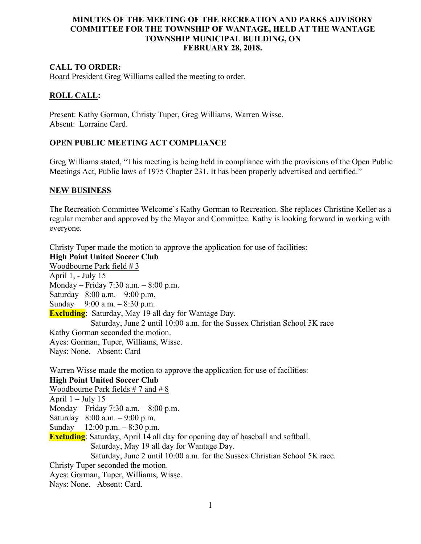# **MINUTES OF THE MEETING OF THE RECREATION AND PARKS ADVISORY COMMITTEE FOR THE TOWNSHIP OF WANTAGE, HELD AT THE WANTAGE TOWNSHIP MUNICIPAL BUILDING, ON FEBRUARY 28, 2018.**

# **CALL TO ORDER:**

Board President Greg Williams called the meeting to order.

## **ROLL CALL:**

Present: Kathy Gorman, Christy Tuper, Greg Williams, Warren Wisse. Absent: Lorraine Card.

## **OPEN PUBLIC MEETING ACT COMPLIANCE**

Greg Williams stated, "This meeting is being held in compliance with the provisions of the Open Public Meetings Act, Public laws of 1975 Chapter 231. It has been properly advertised and certified."

### **NEW BUSINESS**

The Recreation Committee Welcome's Kathy Gorman to Recreation. She replaces Christine Keller as a regular member and approved by the Mayor and Committee. Kathy is looking forward in working with everyone.

Christy Tuper made the motion to approve the application for use of facilities: **High Point United Soccer Club** Woodbourne Park field # 3 April 1, - July 15 Monday – Friday 7:30 a.m. – 8:00 p.m. Saturday 8:00 a.m. – 9:00 p.m. Sunday 9:00 a.m. – 8:30 p.m. **Excluding**: Saturday, May 19 all day for Wantage Day. Saturday, June 2 until 10:00 a.m. for the Sussex Christian School 5K race Kathy Gorman seconded the motion. Ayes: Gorman, Tuper, Williams, Wisse. Nays: None. Absent: Card Warren Wisse made the motion to approve the application for use of facilities: **High Point United Soccer Club** Woodbourne Park fields # 7 and # 8 April  $1 -$ July 15 Monday – Friday 7:30 a.m. – 8:00 p.m. Saturday 8:00 a.m. – 9:00 p.m. Sunday 12:00 p.m. – 8:30 p.m. **Excluding**: Saturday, April 14 all day for opening day of baseball and softball. Saturday, May 19 all day for Wantage Day. Saturday, June 2 until 10:00 a.m. for the Sussex Christian School 5K race. Christy Tuper seconded the motion. Ayes: Gorman, Tuper, Williams, Wisse.

Nays: None. Absent: Card.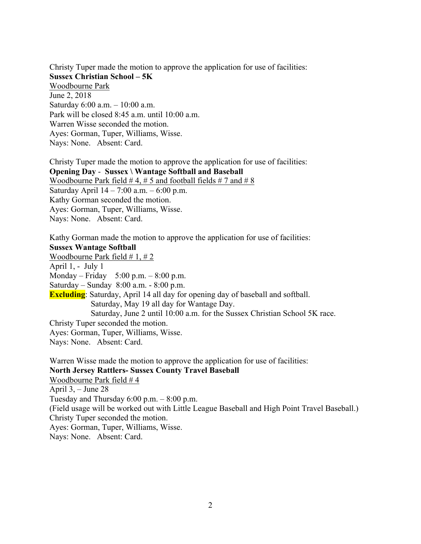Christy Tuper made the motion to approve the application for use of facilities: **Sussex Christian School – 5K** Woodbourne Park June 2, 2018 Saturday 6:00 a.m. – 10:00 a.m. Park will be closed 8:45 a.m. until 10:00 a.m. Warren Wisse seconded the motion. Ayes: Gorman, Tuper, Williams, Wisse. Nays: None. Absent: Card.

Christy Tuper made the motion to approve the application for use of facilities: **Opening Day** - **Sussex \ Wantage Softball and Baseball** Woodbourne Park field  $# 4, # 5$  and football fields  $# 7$  and  $# 8$ Saturday April 14 – 7:00 a.m. – 6:00 p.m. Kathy Gorman seconded the motion. Ayes: Gorman, Tuper, Williams, Wisse. Nays: None. Absent: Card.

Kathy Gorman made the motion to approve the application for use of facilities: **Sussex Wantage Softball** Woodbourne Park field # 1, # 2 April 1, - July 1 Monday – Friday 5:00 p.m. –  $8:00$  p.m. Saturday – Sunday 8:00 a.m. - 8:00 p.m. **Excluding**: Saturday, April 14 all day for opening day of baseball and softball. Saturday, May 19 all day for Wantage Day. Saturday, June 2 until 10:00 a.m. for the Sussex Christian School 5K race. Christy Tuper seconded the motion. Ayes: Gorman, Tuper, Williams, Wisse. Nays: None. Absent: Card. Warren Wisse made the motion to approve the application for use of facilities: **North Jersey Rattlers- Sussex County Travel Baseball** Woodbourne Park field # 4 April  $3, -$  June 28 Tuesday and Thursday  $6:00$  p.m.  $-8:00$  p.m. (Field usage will be worked out with Little League Baseball and High Point Travel Baseball.) Christy Tuper seconded the motion.

Ayes: Gorman, Tuper, Williams, Wisse.

Nays: None. Absent: Card.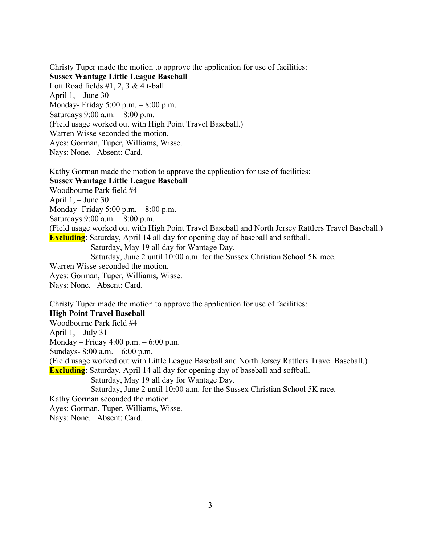Christy Tuper made the motion to approve the application for use of facilities: **Sussex Wantage Little League Baseball** Lott Road fields  $\#1, 2, 3 \& 4$  t-ball April 1, – June 30 Monday- Friday 5:00 p.m. – 8:00 p.m. Saturdays 9:00 a.m. – 8:00 p.m. (Field usage worked out with High Point Travel Baseball.) Warren Wisse seconded the motion. Ayes: Gorman, Tuper, Williams, Wisse. Nays: None. Absent: Card.

Kathy Gorman made the motion to approve the application for use of facilities: **Sussex Wantage Little League Baseball** Woodbourne Park field #4 April 1, – June 30 Monday- Friday 5:00 p.m. – 8:00 p.m. Saturdays 9:00 a.m. – 8:00 p.m. (Field usage worked out with High Point Travel Baseball and North Jersey Rattlers Travel Baseball.) **Excluding**: Saturday, April 14 all day for opening day of baseball and softball. Saturday, May 19 all day for Wantage Day. Saturday, June 2 until 10:00 a.m. for the Sussex Christian School 5K race. Warren Wisse seconded the motion. Ayes: Gorman, Tuper, Williams, Wisse. Nays: None. Absent: Card.

Christy Tuper made the motion to approve the application for use of facilities: **High Point Travel Baseball** Woodbourne Park field #4 April  $1, -$  July 31 Monday – Friday 4:00 p.m. – 6:00 p.m. Sundays- 8:00 a.m. – 6:00 p.m. (Field usage worked out with Little League Baseball and North Jersey Rattlers Travel Baseball.) **Excluding**: Saturday, April 14 all day for opening day of baseball and softball. Saturday, May 19 all day for Wantage Day. Saturday, June 2 until 10:00 a.m. for the Sussex Christian School 5K race. Kathy Gorman seconded the motion. Ayes: Gorman, Tuper, Williams, Wisse.

Nays: None. Absent: Card.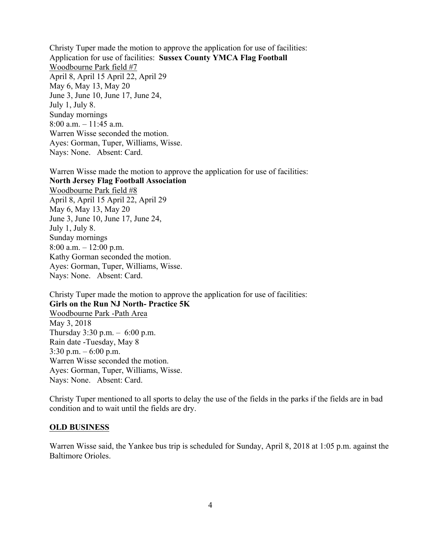Christy Tuper made the motion to approve the application for use of facilities: Application for use of facilities: **Sussex County YMCA Flag Football** Woodbourne Park field #7 April 8, April 15 April 22, April 29 May 6, May 13, May 20 June 3, June 10, June 17, June 24, July 1, July 8. Sunday mornings 8:00 a.m. – 11:45 a.m. Warren Wisse seconded the motion. Ayes: Gorman, Tuper, Williams, Wisse. Nays: None. Absent: Card.

Warren Wisse made the motion to approve the application for use of facilities: **North Jersey Flag Football Association** Woodbourne Park field #8 April 8, April 15 April 22, April 29 May 6, May 13, May 20 June 3, June 10, June 17, June 24, July 1, July 8. Sunday mornings 8:00 a.m.  $-12:00$  p.m. Kathy Gorman seconded the motion. Ayes: Gorman, Tuper, Williams, Wisse. Nays: None. Absent: Card.

Christy Tuper made the motion to approve the application for use of facilities: **Girls on the Run NJ North- Practice 5K** Woodbourne Park -Path Area May 3, 2018 Thursday  $3:30 \text{ p.m.} - 6:00 \text{ p.m.}$ Rain date -Tuesday, May 8  $3:30$  p.m.  $-6:00$  p.m. Warren Wisse seconded the motion. Ayes: Gorman, Tuper, Williams, Wisse. Nays: None. Absent: Card.

Christy Tuper mentioned to all sports to delay the use of the fields in the parks if the fields are in bad condition and to wait until the fields are dry.

#### **OLD BUSINESS**

Warren Wisse said, the Yankee bus trip is scheduled for Sunday, April 8, 2018 at 1:05 p.m. against the Baltimore Orioles.